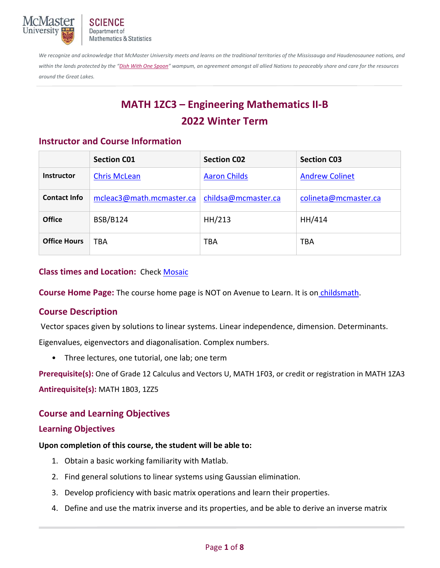

*We recognize and acknowledge that McMaster University meets and learns on the traditional territories of the Mississauga and Haudenosaunee nations, and*  within the lands protected by the "Dish With One Spoon" wampum, an agreement amongst all allied Nations to peaceably share and care for the resources *around the Great Lakes.*

# **MATH 1ZC3 – Engineering Mathematics II‐B 2022 Winter Term**

## **Instructor and Course Information**

|                     | <b>Section C01</b>       | <b>Section CO2</b>  | <b>Section C03</b>    |
|---------------------|--------------------------|---------------------|-----------------------|
| <b>Instructor</b>   | <b>Chris McLean</b>      | <b>Aaron Childs</b> | <b>Andrew Colinet</b> |
| <b>Contact Info</b> | mcleac3@math.mcmaster.ca | childsa@mcmaster.ca | colineta@mcmaster.ca  |
| <b>Office</b>       | <b>BSB/B124</b>          | HH/213              | HH/414                |
| <b>Office Hours</b> | <b>TBA</b>               | TBA                 | <b>TBA</b>            |

#### **Class times and Location:**  Check Mosaic

**Course Home Page:** The course home page is NOT on Avenue to Learn. It is on childsmath.

## **Course Description**

 Vector spaces given by solutions to linear systems. Linear independence, dimension. Determinants. Eigenvalues, eigenvectors and diagonalisation. Complex numbers.

• Three lectures, one tutorial, one lab; one term

**Prerequisite(s):** One of Grade 12 Calculus and Vectors U, MATH 1F03, or credit or registration in MATH 1ZA3

**Antirequisite(s):** MATH 1B03, 1ZZ5

# **Course and Learning Objectives**

#### **Learning Objectives**

#### **Upon completion of this course, the student will be able to:**

- 1. Obtain a basic working familiarity with Matlab.
- 2. Find general solutions to linear systems using Gaussian elimination.
- 3. Develop proficiency with basic matrix operations and learn their properties.
- 4. Define and use the matrix inverse and its properties, and be able to derive an inverse matrix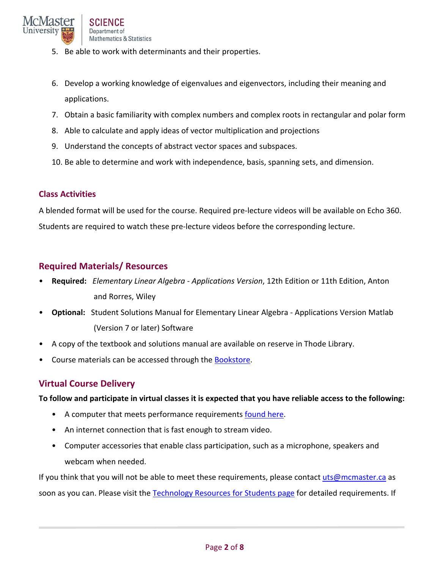- 5. Be able to work with determinants and their properties.
- 6. Develop a working knowledge of eigenvalues and eigenvectors, including their meaning and applications.
- 7. Obtain a basic familiarity with complex numbers and complex roots in rectangular and polar form
- 8. Able to calculate and apply ideas of vector multiplication and projections
- 9. Understand the concepts of abstract vector spaces and subspaces.
- 10. Be able to determine and work with independence, basis, spanning sets, and dimension.

#### **Class Activities**

A blended format will be used for the course. Required pre‐lecture videos will be available on Echo 360. Students are required to watch these pre‐lecture videos before the corresponding lecture.

#### **Required Materials/ Resources**

- **Required:** *Elementary Linear Algebra ‐ Applications Version*, 12th Edition or 11th Edition, Anton and Rorres, Wiley
- **Optional:** Student Solutions Manual for Elementary Linear Algebra ‐ Applications Version Matlab (Version 7 or later) Software
- A copy of the textbook and solutions manual are available on reserve in Thode Library.
- Course materials can be accessed through the Bookstore.

## **Virtual Course Delivery**

**To follow and participate in virtual classes it is expected that you have reliable access to the following:** 

- A computer that meets performance requirements found here.
- An internet connection that is fast enough to stream video.
- Computer accessories that enable class participation, such as a microphone, speakers and webcam when needed.

If you think that you will not be able to meet these requirements, please contact uts@mcmaster.ca as soon as you can. Please visit the Technology Resources for Students page for detailed requirements. If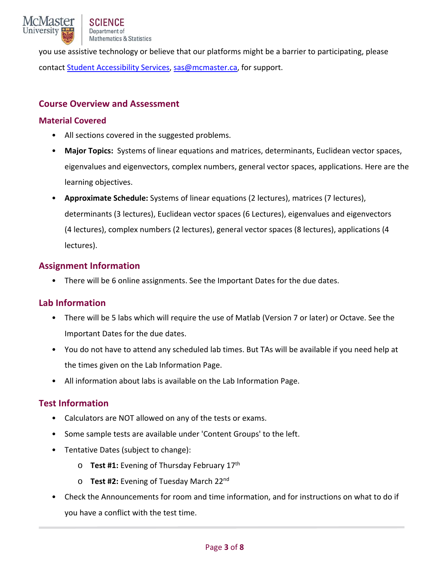you use assistive technology or believe that our platforms might be a barrier to participating, please contact Student Accessibility Services, sas@mcmaster.ca, for support.

## **Course Overview and Assessment**

#### **Material Covered**

- All sections covered in the suggested problems.
- **Major Topics:** Systems of linear equations and matrices, determinants, Euclidean vector spaces, eigenvalues and eigenvectors, complex numbers, general vector spaces, applications. Here are the learning objectives.
- **Approximate Schedule:** Systems of linear equations (2 lectures), matrices (7 lectures), determinants (3 lectures), Euclidean vector spaces (6 Lectures), eigenvalues and eigenvectors (4 lectures), complex numbers (2 lectures), general vector spaces (8 lectures), applications (4 lectures).

## **Assignment Information**

• There will be 6 online assignments. See the Important Dates for the due dates.

## **Lab Information**

- There will be 5 labs which will require the use of Matlab (Version 7 or later) or Octave. See the Important Dates for the due dates.
- You do not have to attend any scheduled lab times. But TAs will be available if you need help at the times given on the Lab Information Page.
- All information about labs is available on the Lab Information Page.

## **Test Information**

- Calculators are NOT allowed on any of the tests or exams.
- Some sample tests are available under 'Content Groups' to the left.
- Tentative Dates (subject to change):
	- o **Test #1:** Evening of Thursday February 17th
	- o **Test #2:** Evening of Tuesday March 22nd
- Check the Announcements for room and time information, and for instructions on what to do if you have a conflict with the test time.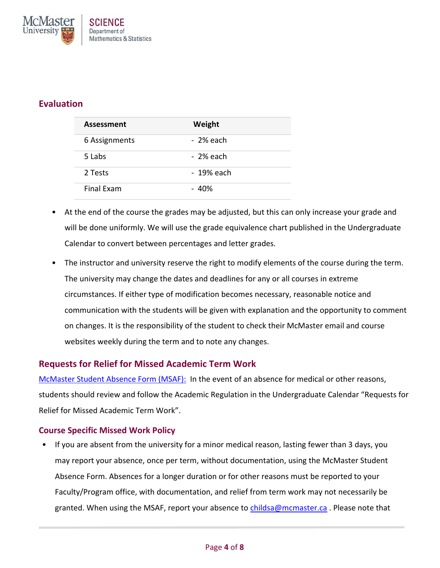

## **Evaluation**

| <b>Assessment</b> | Weight     |
|-------------------|------------|
| 6 Assignments     | - 2% each  |
| 5 Labs            | - 2% each  |
| 2 Tests           | - 19% each |
| Final Exam        | - 40%      |

- At the end of the course the grades may be adjusted, but this can only increase your grade and will be done uniformly. We will use the grade equivalence chart published in the Undergraduate Calendar to convert between percentages and letter grades.
- The instructor and university reserve the right to modify elements of the course during the term. The university may change the dates and deadlines for any or all courses in extreme circumstances. If either type of modification becomes necessary, reasonable notice and communication with the students will be given with explanation and the opportunity to comment on changes. It is the responsibility of the student to check their McMaster email and course websites weekly during the term and to note any changes.

## **Requests for Relief for Missed Academic Term Work**

McMaster Student Absence Form (MSAF): In the event of an absence for medical or other reasons, students should review and follow the Academic Regulation in the Undergraduate Calendar "Requests for Relief for Missed Academic Term Work".

#### **Course Specific Missed Work Policy**

• If you are absent from the university for a minor medical reason, lasting fewer than 3 days, you may report your absence, once per term, without documentation, using the McMaster Student Absence Form. Absences for a longer duration or for other reasons must be reported to your Faculty/Program office, with documentation, and relief from term work may not necessarily be granted. When using the MSAF, report your absence to childsa@mcmaster.ca. Please note that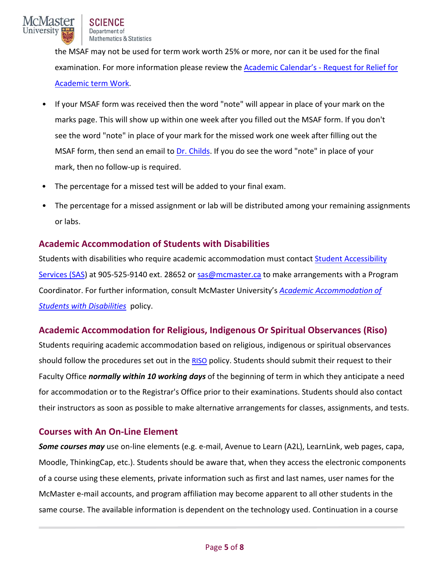the MSAF may not be used for term work worth 25% or more, nor can it be used for the final examination. For more information please review the Academic Calendar's ‐ Request for Relief for Academic term Work.

- If your MSAF form was received then the word "note" will appear in place of your mark on the marks page. This will show up within one week after you filled out the MSAF form. If you don't see the word "note" in place of your mark for the missed work one week after filling out the MSAF form, then send an email to Dr. Childs. If you do see the word "note" in place of your mark, then no follow-up is required.
- The percentage for a missed test will be added to your final exam.
- The percentage for a missed assignment or lab will be distributed among your remaining assignments or labs.

## **Academic Accommodation of Students with Disabilities**

Students with disabilities who require academic accommodation must contact Student Accessibility Services (SAS) at 905-525-9140 ext. 28652 or sas@mcmaster.ca to make arrangements with a Program Coordinator. For further information, consult McMaster University's *Academic Accommodation of Students with Disabilities* policy.

# **Academic Accommodation for Religious, Indigenous Or Spiritual Observances (Riso)**

Students requiring academic accommodation based on religious, indigenous or spiritual observances should follow the procedures set out in the RISO policy. Students should submit their request to their Faculty Office *normally within 10 working days* of the beginning of term in which they anticipate a need for accommodation or to the Registrar's Office prior to their examinations. Students should also contact their instructors as soon as possible to make alternative arrangements for classes, assignments, and tests.

# **Courses with An On‐Line Element**

*Some courses may* use on‐line elements (e.g. e‐mail, Avenue to Learn (A2L), LearnLink, web pages, capa, Moodle, ThinkingCap, etc.). Students should be aware that, when they access the electronic components of a course using these elements, private information such as first and last names, user names for the McMaster e‐mail accounts, and program affiliation may become apparent to all other students in the same course. The available information is dependent on the technology used. Continuation in a course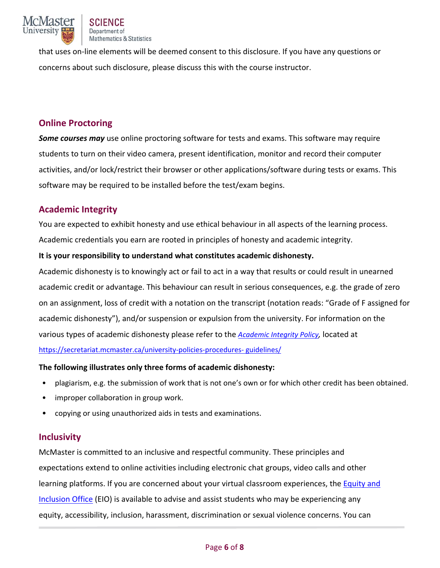

that uses on‐line elements will be deemed consent to this disclosure. If you have any questions or concerns about such disclosure, please discuss this with the course instructor.

### **Online Proctoring**

*Some courses may* use online proctoring software for tests and exams. This software may require students to turn on their video camera, present identification, monitor and record their computer activities, and/or lock/restrict their browser or other applications/software during tests or exams. This software may be required to be installed before the test/exam begins.

## **Academic Integrity**

You are expected to exhibit honesty and use ethical behaviour in all aspects of the learning process. Academic credentials you earn are rooted in principles of honesty and academic integrity.

#### **It is your responsibility to understand what constitutes academic dishonesty.**

Academic dishonesty is to knowingly act or fail to act in a way that results or could result in unearned academic credit or advantage. This behaviour can result in serious consequences, e.g. the grade of zero on an assignment, loss of credit with a notation on the transcript (notation reads: "Grade of F assigned for academic dishonesty"), and/or suspension or expulsion from the university. For information on the various types of academic dishonesty please refer to the *Academic Integrity Policy,* located at https://secretariat.mcmaster.ca/university-policies-procedures- guidelines/

#### **The following illustrates only three forms of academic dishonesty:**

- plagiarism, e.g. the submission of work that is not one's own or for which other credit has been obtained.
- improper collaboration in group work.
- copying or using unauthorized aids in tests and examinations.

#### **Inclusivity**

McMaster is committed to an inclusive and respectful community. These principles and expectations extend to online activities including electronic chat groups, video calls and other learning platforms. If you are concerned about your virtual classroom experiences, the Equity and Inclusion Office (EIO) is available to advise and assist students who may be experiencing any equity, accessibility, inclusion, harassment, discrimination or sexual violence concerns. You can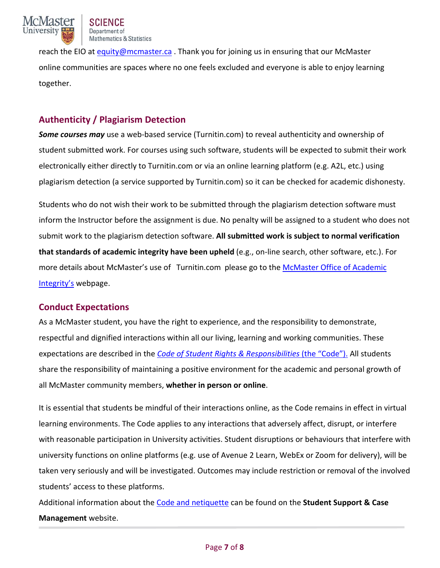

reach the EIO at equity@mcmaster.ca. Thank you for joining us in ensuring that our McMaster online communities are spaces where no one feels excluded and everyone is able to enjoy learning together.

# **Authenticity / Plagiarism Detection**

**Some courses may** use a web-based service (Turnitin.com) to reveal authenticity and ownership of student submitted work. For courses using such software, students will be expected to submit their work electronically either directly to Turnitin.com or via an online learning platform (e.g. A2L, etc.) using plagiarism detection (a service supported by Turnitin.com) so it can be checked for academic dishonesty.

Students who do not wish their work to be submitted through the plagiarism detection software must inform the Instructor before the assignment is due. No penalty will be assigned to a student who does not submit work to the plagiarism detection software. **All submitted work is subject to normal verification that standards of academic integrity have been upheld** (e.g., on‐line search, other software, etc.). For more details about McMaster's use of Turnitin.com please go to the McMaster Office of Academic Integrity's webpage.

## **Conduct Expectations**

As a McMaster student, you have the right to experience, and the responsibility to demonstrate, respectful and dignified interactions within all our living, learning and working communities. These expectations are described in the *Code of Student Rights & Responsibilities* (the "Code"). All students share the responsibility of maintaining a positive environment for the academic and personal growth of all McMaster community members, **whether in person or online**.

It is essential that students be mindful of their interactions online, as the Code remains in effect in virtual learning environments. The Code applies to any interactions that adversely affect, disrupt, or interfere with reasonable participation in University activities. Student disruptions or behaviours that interfere with university functions on online platforms (e.g. use of Avenue 2 Learn, WebEx or Zoom for delivery), will be taken very seriously and will be investigated. Outcomes may include restriction or removal of the involved students' access to these platforms.

Additional information about the Code and netiquette can be found on the **Student Support & Case Management** website.